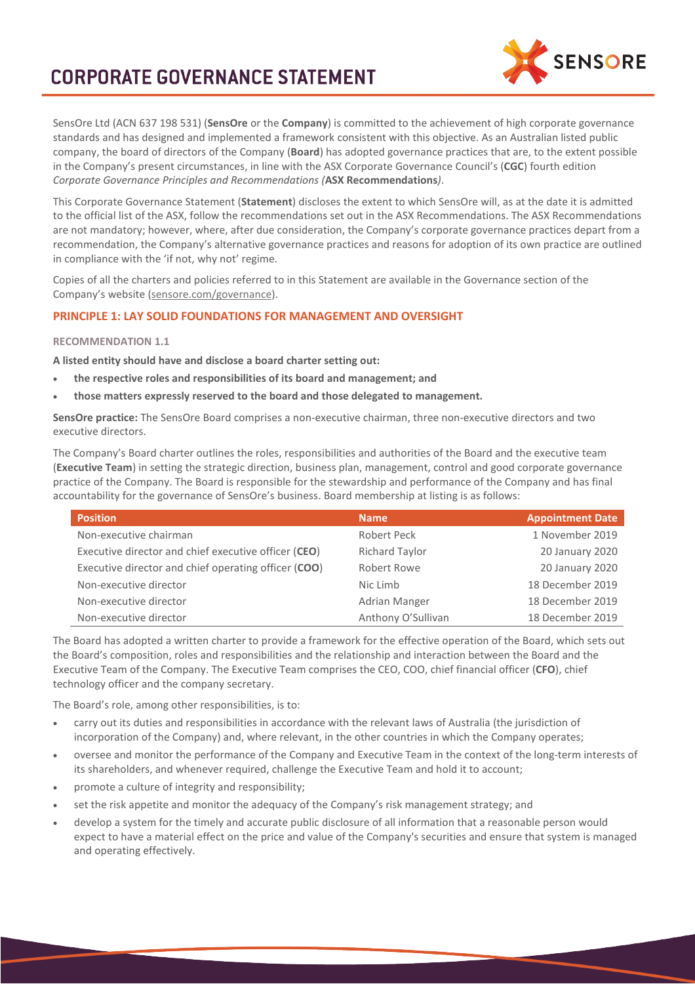# **CORPORATE GOVERNANCE STATEMENT**



SensOre Ltd (ACN 637 198 531) (**SensOre** or the **Company**) is committed to the achievement of high corporate governance standards and has designed and implemented a framework consistent with this objective. As an Australian listed public company, the board of directors of the Company (**Board**) has adopted governance practices that are, to the extent possible in the Company's present circumstances, in line with the ASX Corporate Governance Council's (**CGC**) fourth edition *Corporate Governance Principles and Recommendations (***ASX Recommendations***)*.

This Corporate Governance Statement (**Statement**) discloses the extent to which SensOre will, as at the date it is admitted to the official list of the ASX, follow the recommendations set out in the ASX Recommendations. The ASX Recommendations are not mandatory; however, where, after due consideration, the Company's corporate governance practices depart from a recommendation, the Company's alternative governance practices and reasons for adoption of its own practice are outlined in compliance with the 'if not, why not' regime.

Copies of all the charters and policies referred to in this Statement are available in the Governance section of the Company's website [\(sensore.com/governance\)](https://sensore.com/governance/).

# **PRINCIPLE 1: LAY SOLID FOUNDATIONS FOR MANAGEMENT AND OVERSIGHT**

## **RECOMMENDATION 1.1**

**A listed entity should have and disclose a board charter setting out:**

- **the respective roles and responsibilities of its board and management; and**
- **those matters expressly reserved to the board and those delegated to management.**

**SensOre practice:** The SensOre Board comprises a non-executive chairman, three non-executive directors and two executive directors.

The Company's Board charter outlines the roles, responsibilities and authorities of the Board and the executive team (**Executive Team**) in setting the strategic direction, business plan, management, control and good corporate governance practice of the Company. The Board is responsible for the stewardship and performance of the Company and has final accountability for the governance of SensOre's business. Board membership at listing is as follows:

| <b>Position</b>                                      | <b>Name</b>           | <b>Appointment Date</b> |
|------------------------------------------------------|-----------------------|-------------------------|
| Non-executive chairman                               | Robert Peck           | 1 November 2019         |
| Executive director and chief executive officer (CEO) | <b>Richard Taylor</b> | 20 January 2020         |
| Executive director and chief operating officer (COO) | Robert Rowe           | 20 January 2020         |
| Non-executive director                               | Nic Limb              | 18 December 2019        |
| Non-executive director                               | Adrian Manger         | 18 December 2019        |
| Non-executive director                               | Anthony O'Sullivan    | 18 December 2019        |

The Board has adopted a written charter to provide a framework for the effective operation of the Board, which sets out the Board's composition, roles and responsibilities and the relationship and interaction between the Board and the Executive Team of the Company. The Executive Team comprises the CEO, COO, chief financial officer (**CFO**), chief technology officer and the company secretary.

The Board's role, among other responsibilities, is to:

- carry out its duties and responsibilities in accordance with the relevant laws of Australia (the jurisdiction of incorporation of the Company) and, where relevant, in the other countries in which the Company operates;
- oversee and monitor the performance of the Company and Executive Team in the context of the long-term interests of its shareholders, and whenever required, challenge the Executive Team and hold it to account;
- promote a culture of integrity and responsibility;
- set the risk appetite and monitor the adequacy of the Company's risk management strategy; and
- develop a system for the timely and accurate public disclosure of all information that a reasonable person would expect to have a material effect on the price and value of the Company's securities and ensure that system is managed and operating effectively.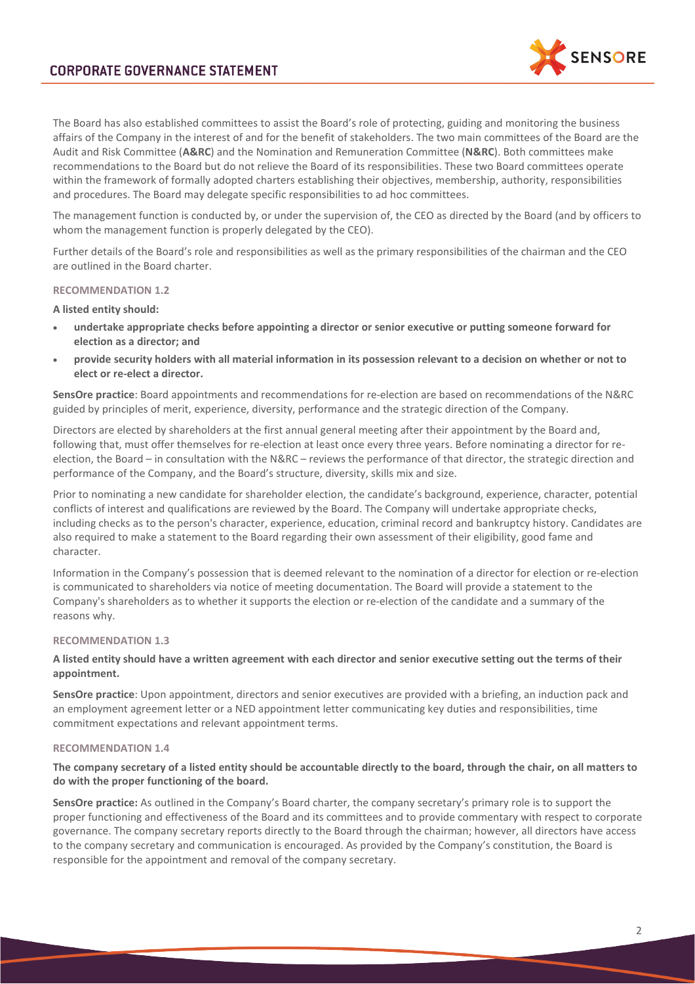

The Board has also established committees to assist the Board's role of protecting, guiding and monitoring the business affairs of the Company in the interest of and for the benefit of stakeholders. The two main committees of the Board are the Audit and Risk Committee (**A&RC**) and the Nomination and Remuneration Committee (**N&RC**). Both committees make recommendations to the Board but do not relieve the Board of its responsibilities. These two Board committees operate within the framework of formally adopted charters establishing their objectives, membership, authority, responsibilities and procedures. The Board may delegate specific responsibilities to ad hoc committees.

The management function is conducted by, or under the supervision of, the CEO as directed by the Board (and by officers to whom the management function is properly delegated by the CEO).

Further details of the Board's role and responsibilities as well as the primary responsibilities of the chairman and the CEO are outlined in the Board charter.

## **RECOMMENDATION 1.2**

**A listed entity should:**

- **undertake appropriate checks before appointing a director or senior executive or putting someone forward for election as a director; and**
- **provide security holders with all material information in its possession relevant to a decision on whether or not to elect or re-elect a director.**

**SensOre practice**: Board appointments and recommendations for re-election are based on recommendations of the N&RC guided by principles of merit, experience, diversity, performance and the strategic direction of the Company.

Directors are elected by shareholders at the first annual general meeting after their appointment by the Board and, following that, must offer themselves for re-election at least once every three years. Before nominating a director for reelection, the Board – in consultation with the N&RC – reviews the performance of that director, the strategic direction and performance of the Company, and the Board's structure, diversity, skills mix and size.

Prior to nominating a new candidate for shareholder election, the candidate's background, experience, character, potential conflicts of interest and qualifications are reviewed by the Board. The Company will undertake appropriate checks, including checks as to the person's character, experience, education, criminal record and bankruptcy history. Candidates are also required to make a statement to the Board regarding their own assessment of their eligibility, good fame and character.

Information in the Company's possession that is deemed relevant to the nomination of a director for election or re-election is communicated to shareholders via notice of meeting documentation. The Board will provide a statement to the Company's shareholders as to whether it supports the election or re-election of the candidate and a summary of the reasons why.

#### **RECOMMENDATION 1.3**

## **A listed entity should have a written agreement with each director and senior executive setting out the terms of their appointment.**

**SensOre practice**: Upon appointment, directors and senior executives are provided with a briefing, an induction pack and an employment agreement letter or a NED appointment letter communicating key duties and responsibilities, time commitment expectations and relevant appointment terms.

## **RECOMMENDATION 1.4**

## **The company secretary of a listed entity should be accountable directly to the board, through the chair, on all matters to do with the proper functioning of the board.**

**SensOre practice:** As outlined in the Company's Board charter, the company secretary's primary role is to support the proper functioning and effectiveness of the Board and its committees and to provide commentary with respect to corporate governance. The company secretary reports directly to the Board through the chairman; however, all directors have access to the company secretary and communication is encouraged. As provided by the Company's constitution, the Board is responsible for the appointment and removal of the company secretary.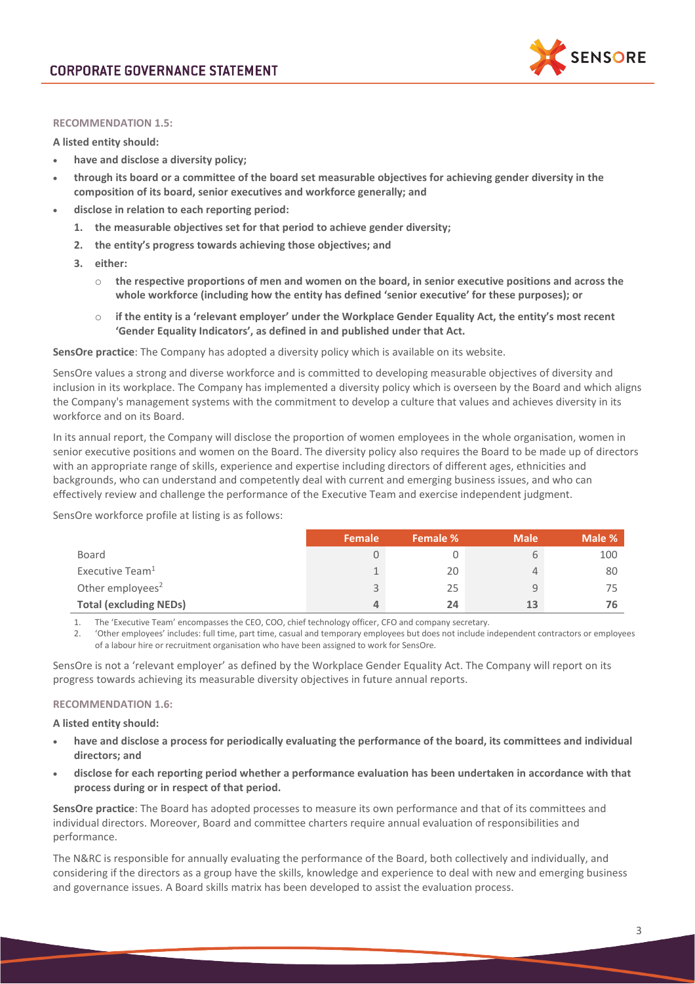

#### **RECOMMENDATION 1.5:**

**A listed entity should:**

- **have and disclose a diversity policy;**
- **through its board or a committee of the board set measurable objectives for achieving gender diversity in the composition of its board, senior executives and workforce generally; and**
- **disclose in relation to each reporting period:**
	- **1. the measurable objectives set for that period to achieve gender diversity;**
	- **2. the entity's progress towards achieving those objectives; and**
	- **3. either:**
		- o **the respective proportions of men and women on the board, in senior executive positions and across the whole workforce (including how the entity has defined 'senior executive' for these purposes); or**
		- o **if the entity is a 'relevant employer' under the Workplace Gender Equality Act, the entity's most recent 'Gender Equality Indicators', as defined in and published under that Act.**

**SensOre practice**: The Company has adopted a diversity policy which is available on its website.

SensOre values a strong and diverse workforce and is committed to developing measurable objectives of diversity and inclusion in its workplace. The Company has implemented a diversity policy which is overseen by the Board and which aligns the Company's management systems with the commitment to develop a culture that values and achieves diversity in its workforce and on its Board.

In its annual report, the Company will disclose the proportion of women employees in the whole organisation, women in senior executive positions and women on the Board. The diversity policy also requires the Board to be made up of directors with an appropriate range of skills, experience and expertise including directors of different ages, ethnicities and backgrounds, who can understand and competently deal with current and emerging business issues, and who can effectively review and challenge the performance of the Executive Team and exercise independent judgment.

SensOre workforce profile at listing is as follows:

|                               | Female | Female % | <b>Male</b>    | Male % |
|-------------------------------|--------|----------|----------------|--------|
| Board                         |        |          |                | 100    |
| Executive Team <sup>1</sup>   |        | 20       | $\overline{4}$ | 80     |
| Other employees <sup>2</sup>  |        | 25       | 9              | 75     |
| <b>Total (excluding NEDs)</b> |        | 24       | 13             | 76     |

1. The 'Executive Team' encompasses the CEO, COO, chief technology officer, CFO and company secretary.

2. 'Other employees' includes: full time, part time, casual and temporary employees but does not include independent contractors or employees of a labour hire or recruitment organisation who have been assigned to work for SensOre.

SensOre is not a 'relevant employer' as defined by the Workplace Gender Equality Act. The Company will report on its progress towards achieving its measurable diversity objectives in future annual reports.

#### **RECOMMENDATION 1.6:**

**A listed entity should:**

- **have and disclose a process for periodically evaluating the performance of the board, its committees and individual directors; and**
- **disclose for each reporting period whether a performance evaluation has been undertaken in accordance with that process during or in respect of that period.**

**SensOre practice**: The Board has adopted processes to measure its own performance and that of its committees and individual directors. Moreover, Board and committee charters require annual evaluation of responsibilities and performance.

The N&RC is responsible for annually evaluating the performance of the Board, both collectively and individually, and considering if the directors as a group have the skills, knowledge and experience to deal with new and emerging business and governance issues. A Board skills matrix has been developed to assist the evaluation process.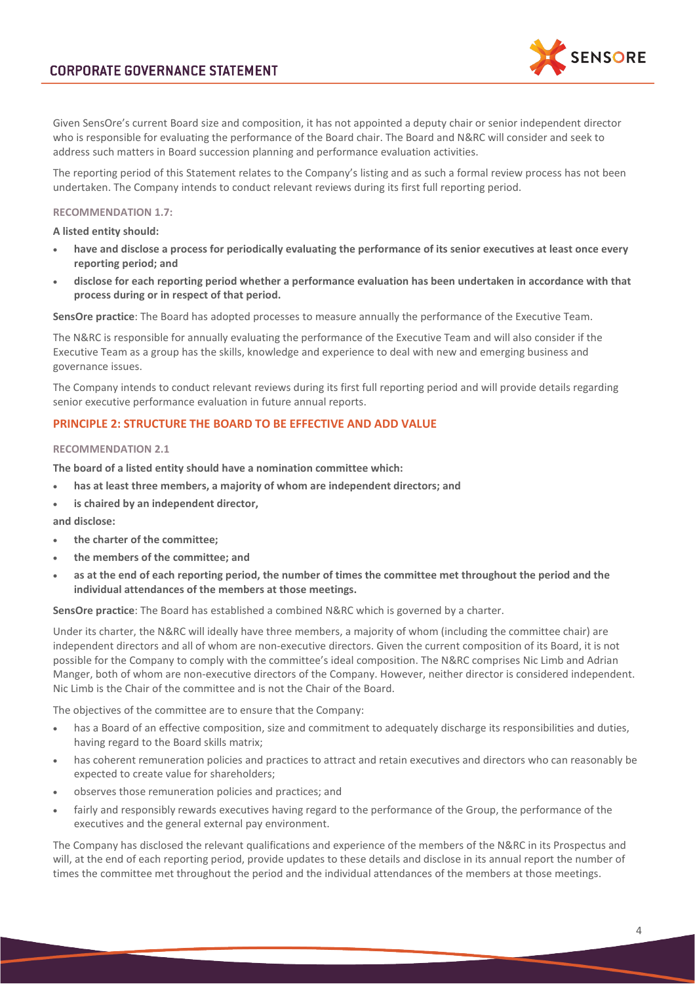

Given SensOre's current Board size and composition, it has not appointed a deputy chair or senior independent director who is responsible for evaluating the performance of the Board chair. The Board and N&RC will consider and seek to address such matters in Board succession planning and performance evaluation activities.

The reporting period of this Statement relates to the Company's listing and as such a formal review process has not been undertaken. The Company intends to conduct relevant reviews during its first full reporting period.

#### **RECOMMENDATION 1.7:**

**A listed entity should:**

- **have and disclose a process for periodically evaluating the performance of its senior executives at least once every reporting period; and**
- **disclose for each reporting period whether a performance evaluation has been undertaken in accordance with that process during or in respect of that period.**

**SensOre practice**: The Board has adopted processes to measure annually the performance of the Executive Team.

The N&RC is responsible for annually evaluating the performance of the Executive Team and will also consider if the Executive Team as a group has the skills, knowledge and experience to deal with new and emerging business and governance issues.

The Company intends to conduct relevant reviews during its first full reporting period and will provide details regarding senior executive performance evaluation in future annual reports.

## **PRINCIPLE 2: STRUCTURE THE BOARD TO BE EFFECTIVE AND ADD VALUE**

#### **RECOMMENDATION 2.1**

**The board of a listed entity should have a nomination committee which:**

- **has at least three members, a majority of whom are independent directors; and**
- **is chaired by an independent director,**

**and disclose:**

- **the charter of the committee;**
- **the members of the committee; and**
- **as at the end of each reporting period, the number of times the committee met throughout the period and the individual attendances of the members at those meetings.**

**SensOre practice**: The Board has established a combined N&RC which is governed by a charter.

Under its charter, the N&RC will ideally have three members, a majority of whom (including the committee chair) are independent directors and all of whom are non-executive directors. Given the current composition of its Board, it is not possible for the Company to comply with the committee's ideal composition. The N&RC comprises Nic Limb and Adrian Manger, both of whom are non-executive directors of the Company. However, neither director is considered independent. Nic Limb is the Chair of the committee and is not the Chair of the Board.

The objectives of the committee are to ensure that the Company:

- has a Board of an effective composition, size and commitment to adequately discharge its responsibilities and duties, having regard to the Board skills matrix;
- has coherent remuneration policies and practices to attract and retain executives and directors who can reasonably be expected to create value for shareholders;
- observes those remuneration policies and practices; and
- fairly and responsibly rewards executives having regard to the performance of the Group, the performance of the executives and the general external pay environment.

The Company has disclosed the relevant qualifications and experience of the members of the N&RC in its Prospectus and will, at the end of each reporting period, provide updates to these details and disclose in its annual report the number of times the committee met throughout the period and the individual attendances of the members at those meetings.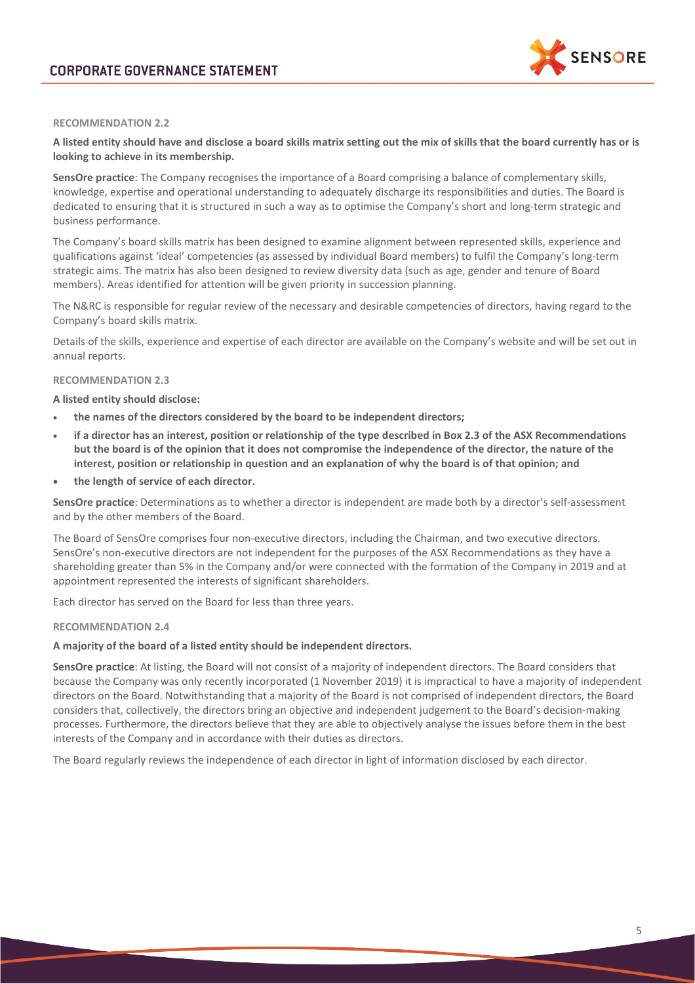

## **RECOMMENDATION 2.2**

**A listed entity should have and disclose a board skills matrix setting out the mix of skills that the board currently has or is looking to achieve in its membership.**

**SensOre practice**: The Company recognises the importance of a Board comprising a balance of complementary skills, knowledge, expertise and operational understanding to adequately discharge its responsibilities and duties. The Board is dedicated to ensuring that it is structured in such a way as to optimise the Company's short and long-term strategic and business performance.

The Company's board skills matrix has been designed to examine alignment between represented skills, experience and qualifications against 'ideal' competencies (as assessed by individual Board members) to fulfil the Company's long-term strategic aims. The matrix has also been designed to review diversity data (such as age, gender and tenure of Board members). Areas identified for attention will be given priority in succession planning.

The N&RC is responsible for regular review of the necessary and desirable competencies of directors, having regard to the Company's board skills matrix.

Details of the skills, experience and expertise of each director are available on the Company's website and will be set out in annual reports.

## **RECOMMENDATION 2.3**

**A listed entity should disclose:** 

- **the names of the directors considered by the board to be independent directors;**
- **if a director has an interest, position or relationship of the type described in Box 2.3 of the ASX Recommendations but the board is of the opinion that it does not compromise the independence of the director, the nature of the interest, position or relationship in question and an explanation of why the board is of that opinion; and**
- **the length of service of each director.**

**SensOre practice**: Determinations as to whether a director is independent are made both by a director's self-assessment and by the other members of the Board.

The Board of SensOre comprises four non-executive directors, including the Chairman, and two executive directors. SensOre's non-executive directors are not independent for the purposes of the ASX Recommendations as they have a shareholding greater than 5% in the Company and/or were connected with the formation of the Company in 2019 and at appointment represented the interests of significant shareholders.

Each director has served on the Board for less than three years.

#### **RECOMMENDATION 2.4**

## **A majority of the board of a listed entity should be independent directors.**

**SensOre practice**: At listing, the Board will not consist of a majority of independent directors. The Board considers that because the Company was only recently incorporated (1 November 2019) it is impractical to have a majority of independent directors on the Board. Notwithstanding that a majority of the Board is not comprised of independent directors, the Board considers that, collectively, the directors bring an objective and independent judgement to the Board's decision-making processes. Furthermore, the directors believe that they are able to objectively analyse the issues before them in the best interests of the Company and in accordance with their duties as directors.

The Board regularly reviews the independence of each director in light of information disclosed by each director.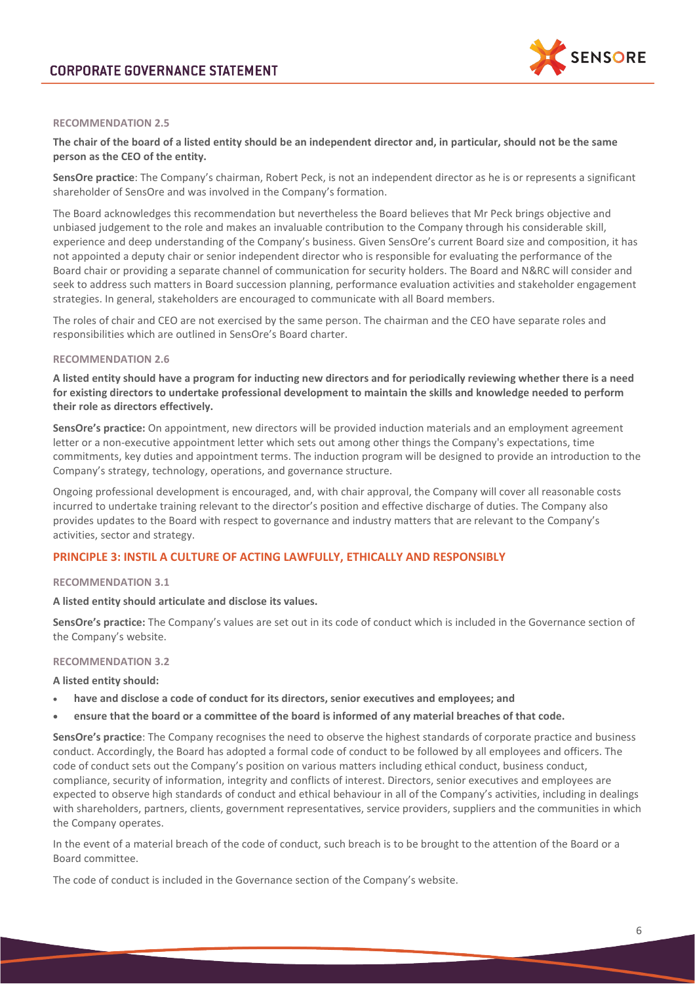

## **RECOMMENDATION 2.5**

## **The chair of the board of a listed entity should be an independent director and, in particular, should not be the same person as the CEO of the entity.**

**SensOre practice**: The Company's chairman, Robert Peck, is not an independent director as he is or represents a significant shareholder of SensOre and was involved in the Company's formation.

The Board acknowledges this recommendation but nevertheless the Board believes that Mr Peck brings objective and unbiased judgement to the role and makes an invaluable contribution to the Company through his considerable skill, experience and deep understanding of the Company's business. Given SensOre's current Board size and composition, it has not appointed a deputy chair or senior independent director who is responsible for evaluating the performance of the Board chair or providing a separate channel of communication for security holders. The Board and N&RC will consider and seek to address such matters in Board succession planning, performance evaluation activities and stakeholder engagement strategies. In general, stakeholders are encouraged to communicate with all Board members.

The roles of chair and CEO are not exercised by the same person. The chairman and the CEO have separate roles and responsibilities which are outlined in SensOre's Board charter.

#### **RECOMMENDATION 2.6**

**A listed entity should have a program for inducting new directors and for periodically reviewing whether there is a need for existing directors to undertake professional development to maintain the skills and knowledge needed to perform their role as directors effectively.**

**SensOre's practice:** On appointment, new directors will be provided induction materials and an employment agreement letter or a non-executive appointment letter which sets out among other things the Company's expectations, time commitments, key duties and appointment terms. The induction program will be designed to provide an introduction to the Company's strategy, technology, operations, and governance structure.

Ongoing professional development is encouraged, and, with chair approval, the Company will cover all reasonable costs incurred to undertake training relevant to the director's position and effective discharge of duties. The Company also provides updates to the Board with respect to governance and industry matters that are relevant to the Company's activities, sector and strategy.

## **PRINCIPLE 3: INSTIL A CULTURE OF ACTING LAWFULLY, ETHICALLY AND RESPONSIBLY**

#### **RECOMMENDATION 3.1**

**A listed entity should articulate and disclose its values.**

**SensOre's practice:** The Company's values are set out in its code of conduct which is included in the Governance section of the Company's website.

#### **RECOMMENDATION 3.2**

**A listed entity should:**

- **have and disclose a code of conduct for its directors, senior executives and employees; and**
- **ensure that the board or a committee of the board is informed of any material breaches of that code.**

**SensOre's practice**: The Company recognises the need to observe the highest standards of corporate practice and business conduct. Accordingly, the Board has adopted a formal code of conduct to be followed by all employees and officers. The code of conduct sets out the Company's position on various matters including ethical conduct, business conduct, compliance, security of information, integrity and conflicts of interest. Directors, senior executives and employees are expected to observe high standards of conduct and ethical behaviour in all of the Company's activities, including in dealings with shareholders, partners, clients, government representatives, service providers, suppliers and the communities in which the Company operates.

In the event of a material breach of the code of conduct, such breach is to be brought to the attention of the Board or a Board committee.

The code of conduct is included in the Governance section of the Company's website.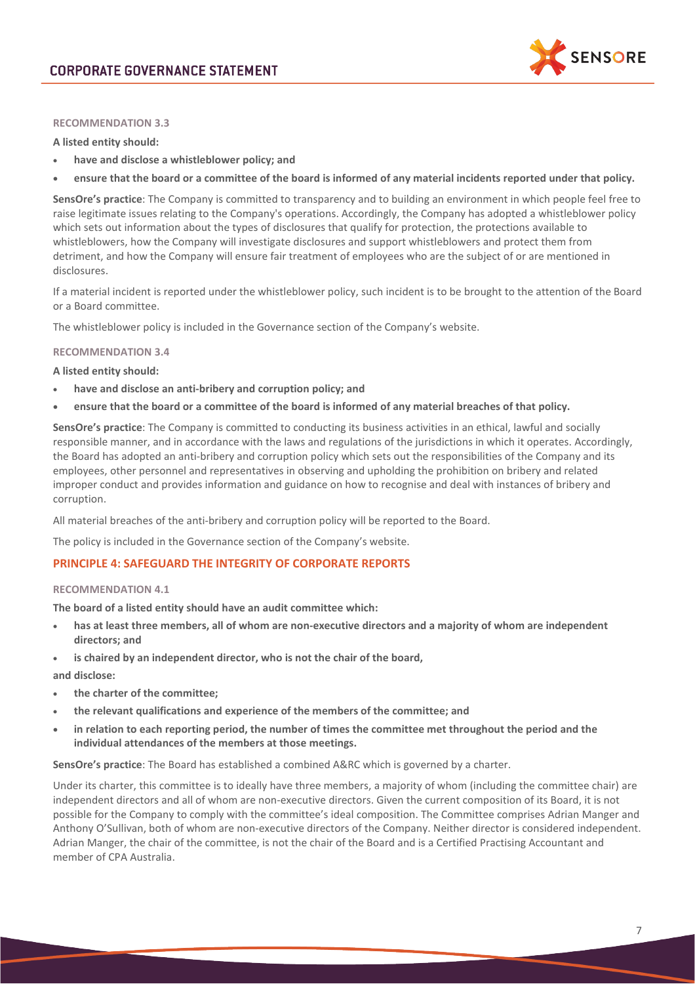

## **RECOMMENDATION 3.3**

**A listed entity should:**

- **have and disclose a whistleblower policy; and**
- **ensure that the board or a committee of the board is informed of any material incidents reported under that policy.**

**SensOre's practice**: The Company is committed to transparency and to building an environment in which people feel free to raise legitimate issues relating to the Company's operations. Accordingly, the Company has adopted a whistleblower policy which sets out information about the types of disclosures that qualify for protection, the protections available to whistleblowers, how the Company will investigate disclosures and support whistleblowers and protect them from detriment, and how the Company will ensure fair treatment of employees who are the subject of or are mentioned in disclosures.

If a material incident is reported under the whistleblower policy, such incident is to be brought to the attention of the Board or a Board committee.

The whistleblower policy is included in the Governance section of the Company's website.

## **RECOMMENDATION 3.4**

**A listed entity should:**

- **have and disclose an anti-bribery and corruption policy; and**
- **ensure that the board or a committee of the board is informed of any material breaches of that policy.**

**SensOre's practice**: The Company is committed to conducting its business activities in an ethical, lawful and socially responsible manner, and in accordance with the laws and regulations of the jurisdictions in which it operates. Accordingly, the Board has adopted an anti-bribery and corruption policy which sets out the responsibilities of the Company and its employees, other personnel and representatives in observing and upholding the prohibition on bribery and related improper conduct and provides information and guidance on how to recognise and deal with instances of bribery and corruption.

All material breaches of the anti-bribery and corruption policy will be reported to the Board.

The policy is included in the Governance section of the Company's website.

## **PRINCIPLE 4: SAFEGUARD THE INTEGRITY OF CORPORATE REPORTS**

#### **RECOMMENDATION 4.1**

**The board of a listed entity should have an audit committee which:** 

- **has at least three members, all of whom are non-executive directors and a majority of whom are independent directors; and**
- is chaired by an independent director, who is not the chair of the board,

**and disclose:** 

- **the charter of the committee;**
- **the relevant qualifications and experience of the members of the committee; and**
- **in relation to each reporting period, the number of times the committee met throughout the period and the individual attendances of the members at those meetings.**

**SensOre's practice**: The Board has established a combined A&RC which is governed by a charter.

Under its charter, this committee is to ideally have three members, a majority of whom (including the committee chair) are independent directors and all of whom are non-executive directors. Given the current composition of its Board, it is not possible for the Company to comply with the committee's ideal composition. The Committee comprises Adrian Manger and Anthony O'Sullivan, both of whom are non-executive directors of the Company. Neither director is considered independent. Adrian Manger, the chair of the committee, is not the chair of the Board and is a Certified Practising Accountant and member of CPA Australia.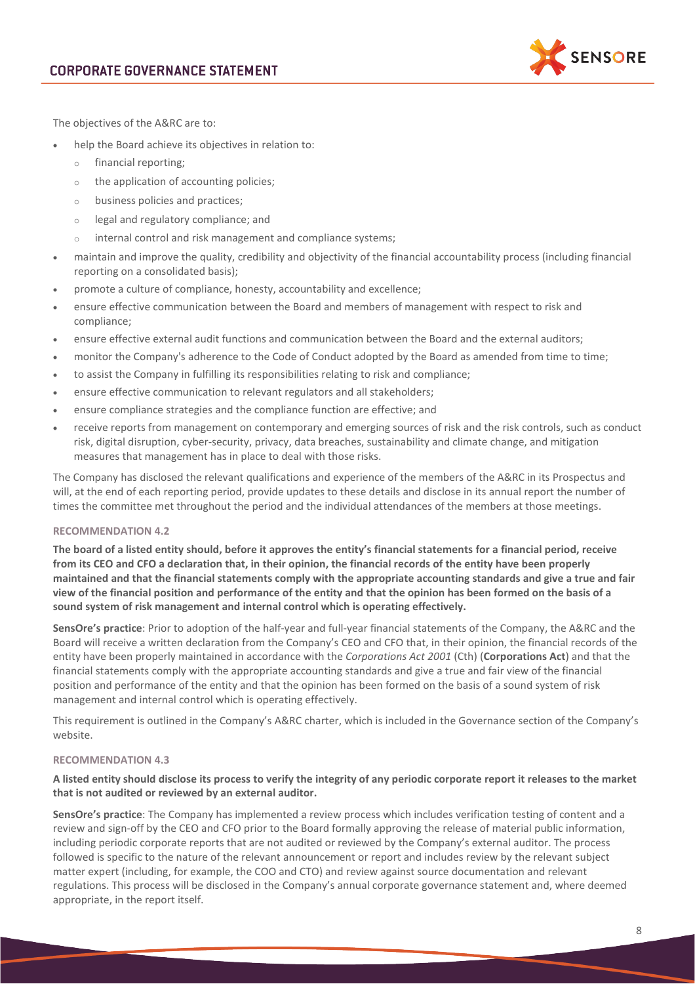

The objectives of the A&RC are to:

- help the Board achieve its objectives in relation to:
	- o financial reporting;
	- o the application of accounting policies;
	- o business policies and practices;
	- o legal and regulatory compliance; and
	- o internal control and risk management and compliance systems;
- maintain and improve the quality, credibility and objectivity of the financial accountability process (including financial reporting on a consolidated basis);
- promote a culture of compliance, honesty, accountability and excellence;
- ensure effective communication between the Board and members of management with respect to risk and compliance;
- ensure effective external audit functions and communication between the Board and the external auditors;
- monitor the Company's adherence to the Code of Conduct adopted by the Board as amended from time to time;
- to assist the Company in fulfilling its responsibilities relating to risk and compliance;
- ensure effective communication to relevant regulators and all stakeholders;
- ensure compliance strategies and the compliance function are effective; and
- receive reports from management on contemporary and emerging sources of risk and the risk controls, such as conduct risk, digital disruption, cyber-security, privacy, data breaches, sustainability and climate change, and mitigation measures that management has in place to deal with those risks.

The Company has disclosed the relevant qualifications and experience of the members of the A&RC in its Prospectus and will, at the end of each reporting period, provide updates to these details and disclose in its annual report the number of times the committee met throughout the period and the individual attendances of the members at those meetings.

#### **RECOMMENDATION 4.2**

**The board of a listed entity should, before it approves the entity's financial statements for a financial period, receive from its CEO and CFO a declaration that, in their opinion, the financial records of the entity have been properly maintained and that the financial statements comply with the appropriate accounting standards and give a true and fair view of the financial position and performance of the entity and that the opinion has been formed on the basis of a sound system of risk management and internal control which is operating effectively.**

**SensOre's practice**: Prior to adoption of the half-year and full-year financial statements of the Company, the A&RC and the Board will receive a written declaration from the Company's CEO and CFO that, in their opinion, the financial records of the entity have been properly maintained in accordance with the *Corporations Act 2001* (Cth) (**Corporations Act**) and that the financial statements comply with the appropriate accounting standards and give a true and fair view of the financial position and performance of the entity and that the opinion has been formed on the basis of a sound system of risk management and internal control which is operating effectively.

This requirement is outlined in the Company's A&RC charter, which is included in the Governance section of the Company's website.

## **RECOMMENDATION 4.3**

## **A listed entity should disclose its process to verify the integrity of any periodic corporate report it releases to the market that is not audited or reviewed by an external auditor.**

**SensOre's practice**: The Company has implemented a review process which includes verification testing of content and a review and sign-off by the CEO and CFO prior to the Board formally approving the release of material public information, including periodic corporate reports that are not audited or reviewed by the Company's external auditor. The process followed is specific to the nature of the relevant announcement or report and includes review by the relevant subject matter expert (including, for example, the COO and CTO) and review against source documentation and relevant regulations. This process will be disclosed in the Company's annual corporate governance statement and, where deemed appropriate, in the report itself.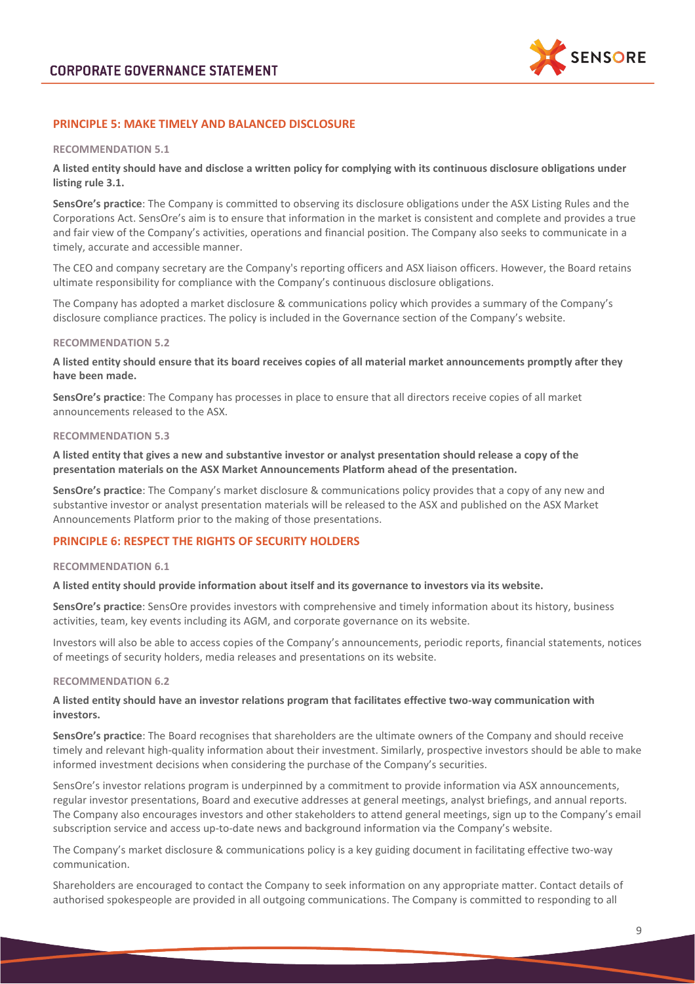

# **PRINCIPLE 5: MAKE TIMELY AND BALANCED DISCLOSURE**

#### **RECOMMENDATION 5.1**

**A listed entity should have and disclose a written policy for complying with its continuous disclosure obligations under listing rule 3.1.**

**SensOre's practice**: The Company is committed to observing its disclosure obligations under the ASX Listing Rules and the Corporations Act. SensOre's aim is to ensure that information in the market is consistent and complete and provides a true and fair view of the Company's activities, operations and financial position. The Company also seeks to communicate in a timely, accurate and accessible manner.

The CEO and company secretary are the Company's reporting officers and ASX liaison officers. However, the Board retains ultimate responsibility for compliance with the Company's continuous disclosure obligations.

The Company has adopted a market disclosure & communications policy which provides a summary of the Company's disclosure compliance practices. The policy is included in the Governance section of the Company's website.

#### **RECOMMENDATION 5.2**

**A listed entity should ensure that its board receives copies of all material market announcements promptly after they have been made.**

**SensOre's practice**: The Company has processes in place to ensure that all directors receive copies of all market announcements released to the ASX.

#### **RECOMMENDATION 5.3**

**A listed entity that gives a new and substantive investor or analyst presentation should release a copy of the presentation materials on the ASX Market Announcements Platform ahead of the presentation.**

**SensOre's practice**: The Company's market disclosure & communications policy provides that a copy of any new and substantive investor or analyst presentation materials will be released to the ASX and published on the ASX Market Announcements Platform prior to the making of those presentations.

## **PRINCIPLE 6: RESPECT THE RIGHTS OF SECURITY HOLDERS**

#### **RECOMMENDATION 6.1**

#### **A listed entity should provide information about itself and its governance to investors via its website.**

**SensOre's practice**: SensOre provides investors with comprehensive and timely information about its history, business activities, team, key events including its AGM, and corporate governance on its website.

Investors will also be able to access copies of the Company's announcements, periodic reports, financial statements, notices of meetings of security holders, media releases and presentations on its website.

#### **RECOMMENDATION 6.2**

## **A listed entity should have an investor relations program that facilitates effective two-way communication with investors.**

**SensOre's practice**: The Board recognises that shareholders are the ultimate owners of the Company and should receive timely and relevant high-quality information about their investment. Similarly, prospective investors should be able to make informed investment decisions when considering the purchase of the Company's securities.

SensOre's investor relations program is underpinned by a commitment to provide information via ASX announcements, regular investor presentations, Board and executive addresses at general meetings, analyst briefings, and annual reports. The Company also encourages investors and other stakeholders to attend general meetings, sign up to the Company's email subscription service and access up-to-date news and background information via the Company's website.

The Company's market disclosure & communications policy is a key guiding document in facilitating effective two-way communication.

Shareholders are encouraged to contact the Company to seek information on any appropriate matter. Contact details of authorised spokespeople are provided in all outgoing communications. The Company is committed to responding to all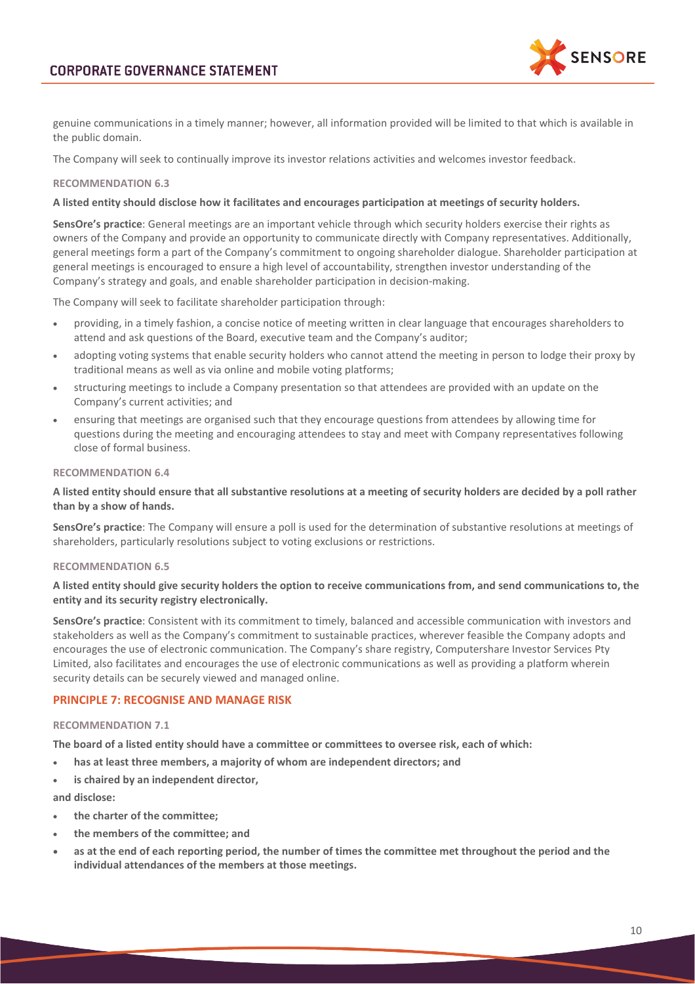

genuine communications in a timely manner; however, all information provided will be limited to that which is available in the public domain.

The Company will seek to continually improve its investor relations activities and welcomes investor feedback.

## **RECOMMENDATION 6.3**

## **A listed entity should disclose how it facilitates and encourages participation at meetings of security holders.**

**SensOre's practice**: General meetings are an important vehicle through which security holders exercise their rights as owners of the Company and provide an opportunity to communicate directly with Company representatives. Additionally, general meetings form a part of the Company's commitment to ongoing shareholder dialogue. Shareholder participation at general meetings is encouraged to ensure a high level of accountability, strengthen investor understanding of the Company's strategy and goals, and enable shareholder participation in decision-making.

The Company will seek to facilitate shareholder participation through:

- providing, in a timely fashion, a concise notice of meeting written in clear language that encourages shareholders to attend and ask questions of the Board, executive team and the Company's auditor;
- adopting voting systems that enable security holders who cannot attend the meeting in person to lodge their proxy by traditional means as well as via online and mobile voting platforms;
- structuring meetings to include a Company presentation so that attendees are provided with an update on the Company's current activities; and
- ensuring that meetings are organised such that they encourage questions from attendees by allowing time for questions during the meeting and encouraging attendees to stay and meet with Company representatives following close of formal business.

## **RECOMMENDATION 6.4**

## **A listed entity should ensure that all substantive resolutions at a meeting of security holders are decided by a poll rather than by a show of hands.**

**SensOre's practice**: The Company will ensure a poll is used for the determination of substantive resolutions at meetings of shareholders, particularly resolutions subject to voting exclusions or restrictions.

#### **RECOMMENDATION 6.5**

## **A listed entity should give security holders the option to receive communications from, and send communications to, the entity and its security registry electronically.**

**SensOre's practice**: Consistent with its commitment to timely, balanced and accessible communication with investors and stakeholders as well as the Company's commitment to sustainable practices, wherever feasible the Company adopts and encourages the use of electronic communication. The Company's share registry, Computershare Investor Services Pty Limited, also facilitates and encourages the use of electronic communications as well as providing a platform wherein security details can be securely viewed and managed online.

# **PRINCIPLE 7: RECOGNISE AND MANAGE RISK**

#### **RECOMMENDATION 7.1**

**The board of a listed entity should have a committee or committees to oversee risk, each of which:**

- **has at least three members, a majority of whom are independent directors; and**
- **is chaired by an independent director,**
- **and disclose:**
- **the charter of the committee;**
- **the members of the committee; and**
- **as at the end of each reporting period, the number of times the committee met throughout the period and the individual attendances of the members at those meetings.**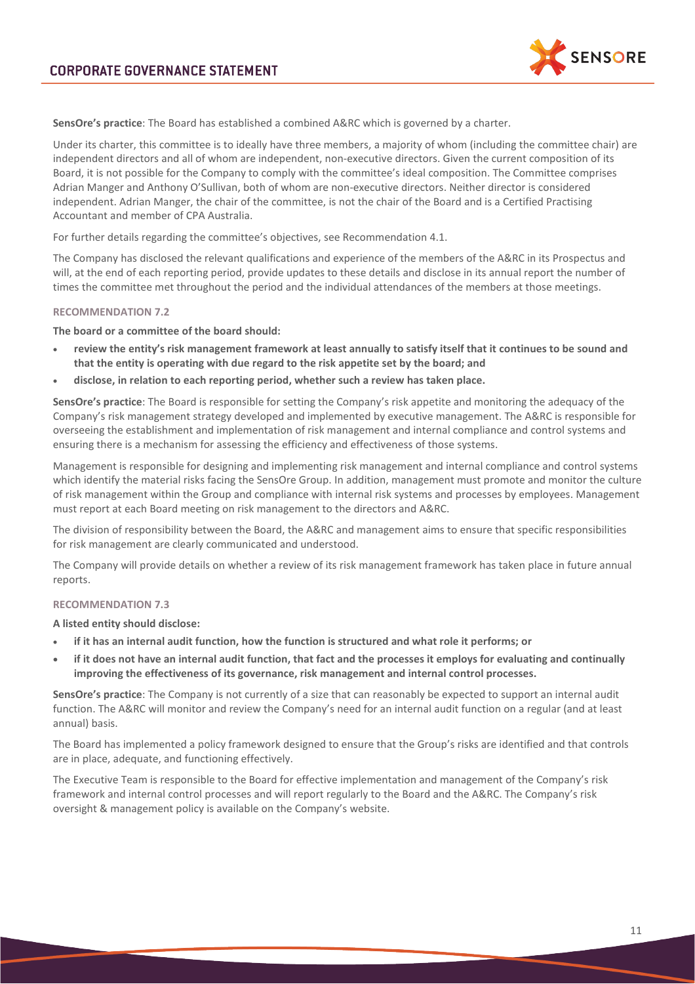

**SensOre's practice**: The Board has established a combined A&RC which is governed by a charter.

Under its charter, this committee is to ideally have three members, a majority of whom (including the committee chair) are independent directors and all of whom are independent, non-executive directors. Given the current composition of its Board, it is not possible for the Company to comply with the committee's ideal composition. The Committee comprises Adrian Manger and Anthony O'Sullivan, both of whom are non-executive directors. Neither director is considered independent. Adrian Manger, the chair of the committee, is not the chair of the Board and is a Certified Practising Accountant and member of CPA Australia.

For further details regarding the committee's objectives, see Recommendation 4.1.

The Company has disclosed the relevant qualifications and experience of the members of the A&RC in its Prospectus and will, at the end of each reporting period, provide updates to these details and disclose in its annual report the number of times the committee met throughout the period and the individual attendances of the members at those meetings.

#### **RECOMMENDATION 7.2**

#### **The board or a committee of the board should:**

- **review the entity's risk management framework at least annually to satisfy itself that it continues to be sound and that the entity is operating with due regard to the risk appetite set by the board; and**
- **disclose, in relation to each reporting period, whether such a review has taken place.**

**SensOre's practice**: The Board is responsible for setting the Company's risk appetite and monitoring the adequacy of the Company's risk management strategy developed and implemented by executive management. The A&RC is responsible for overseeing the establishment and implementation of risk management and internal compliance and control systems and ensuring there is a mechanism for assessing the efficiency and effectiveness of those systems.

Management is responsible for designing and implementing risk management and internal compliance and control systems which identify the material risks facing the SensOre Group. In addition, management must promote and monitor the culture of risk management within the Group and compliance with internal risk systems and processes by employees. Management must report at each Board meeting on risk management to the directors and A&RC.

The division of responsibility between the Board, the A&RC and management aims to ensure that specific responsibilities for risk management are clearly communicated and understood.

The Company will provide details on whether a review of its risk management framework has taken place in future annual reports.

## **RECOMMENDATION 7.3**

**A listed entity should disclose:**

- **if it has an internal audit function, how the function is structured and what role it performs; or**
- **if it does not have an internal audit function, that fact and the processes it employs for evaluating and continually improving the effectiveness of its governance, risk management and internal control processes.**

**SensOre's practice**: The Company is not currently of a size that can reasonably be expected to support an internal audit function. The A&RC will monitor and review the Company's need for an internal audit function on a regular (and at least annual) basis.

The Board has implemented a policy framework designed to ensure that the Group's risks are identified and that controls are in place, adequate, and functioning effectively.

The Executive Team is responsible to the Board for effective implementation and management of the Company's risk framework and internal control processes and will report regularly to the Board and the A&RC. The Company's risk oversight & management policy is available on the Company's website.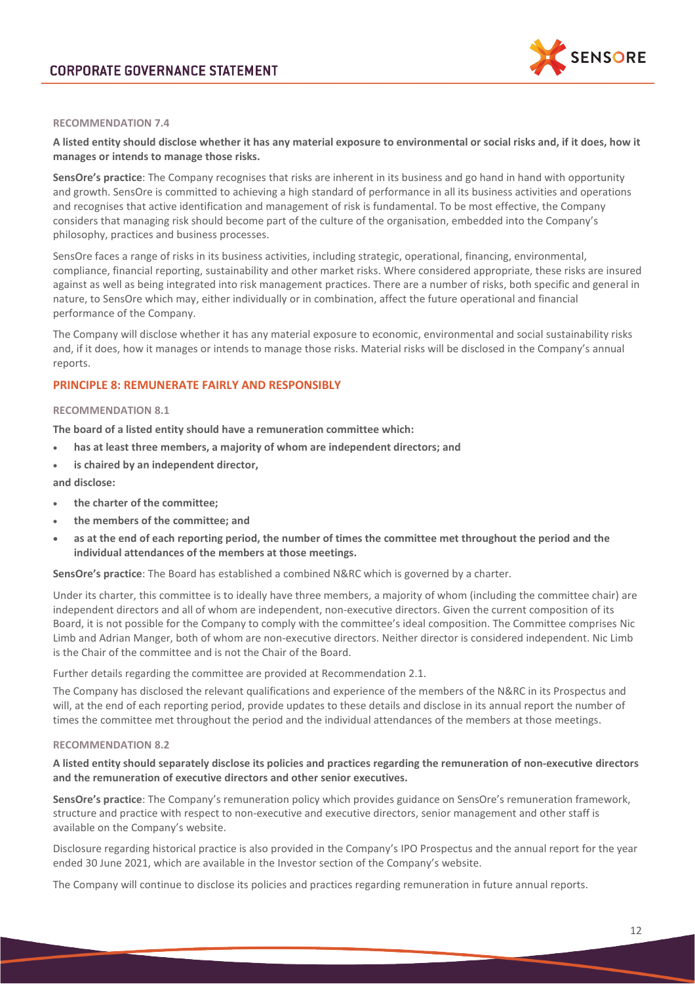

## **RECOMMENDATION 7.4**

## **A listed entity should disclose whether it has any material exposure to environmental or social risks and, if it does, how it manages or intends to manage those risks.**

**SensOre's practice**: The Company recognises that risks are inherent in its business and go hand in hand with opportunity and growth. SensOre is committed to achieving a high standard of performance in all its business activities and operations and recognises that active identification and management of risk is fundamental. To be most effective, the Company considers that managing risk should become part of the culture of the organisation, embedded into the Company's philosophy, practices and business processes.

SensOre faces a range of risks in its business activities, including strategic, operational, financing, environmental, compliance, financial reporting, sustainability and other market risks. Where considered appropriate, these risks are insured against as well as being integrated into risk management practices. There are a number of risks, both specific and general in nature, to SensOre which may, either individually or in combination, affect the future operational and financial performance of the Company.

The Company will disclose whether it has any material exposure to economic, environmental and social sustainability risks and, if it does, how it manages or intends to manage those risks. Material risks will be disclosed in the Company's annual reports.

## **PRINCIPLE 8: REMUNERATE FAIRLY AND RESPONSIBLY**

## **RECOMMENDATION 8.1**

**The board of a listed entity should have a remuneration committee which:** 

- **has at least three members, a majority of whom are independent directors; and**
- **is chaired by an independent director,**

**and disclose:** 

- **the charter of the committee;**
- **the members of the committee; and**
- **as at the end of each reporting period, the number of times the committee met throughout the period and the individual attendances of the members at those meetings.**

**SensOre's practice**: The Board has established a combined N&RC which is governed by a charter.

Under its charter, this committee is to ideally have three members, a majority of whom (including the committee chair) are independent directors and all of whom are independent, non-executive directors. Given the current composition of its Board, it is not possible for the Company to comply with the committee's ideal composition. The Committee comprises Nic Limb and Adrian Manger, both of whom are non-executive directors. Neither director is considered independent. Nic Limb is the Chair of the committee and is not the Chair of the Board.

Further details regarding the committee are provided at Recommendation 2.1.

The Company has disclosed the relevant qualifications and experience of the members of the N&RC in its Prospectus and will, at the end of each reporting period, provide updates to these details and disclose in its annual report the number of times the committee met throughout the period and the individual attendances of the members at those meetings.

#### **RECOMMENDATION 8.2**

## **A listed entity should separately disclose its policies and practices regarding the remuneration of non-executive directors and the remuneration of executive directors and other senior executives.**

**SensOre's practice**: The Company's remuneration policy which provides guidance on SensOre's remuneration framework, structure and practice with respect to non-executive and executive directors, senior management and other staff is available on the Company's website.

Disclosure regarding historical practice is also provided in the Company's IPO Prospectus and the annual report for the year ended 30 June 2021, which are available in the Investor section of the Company's website.

The Company will continue to disclose its policies and practices regarding remuneration in future annual reports.